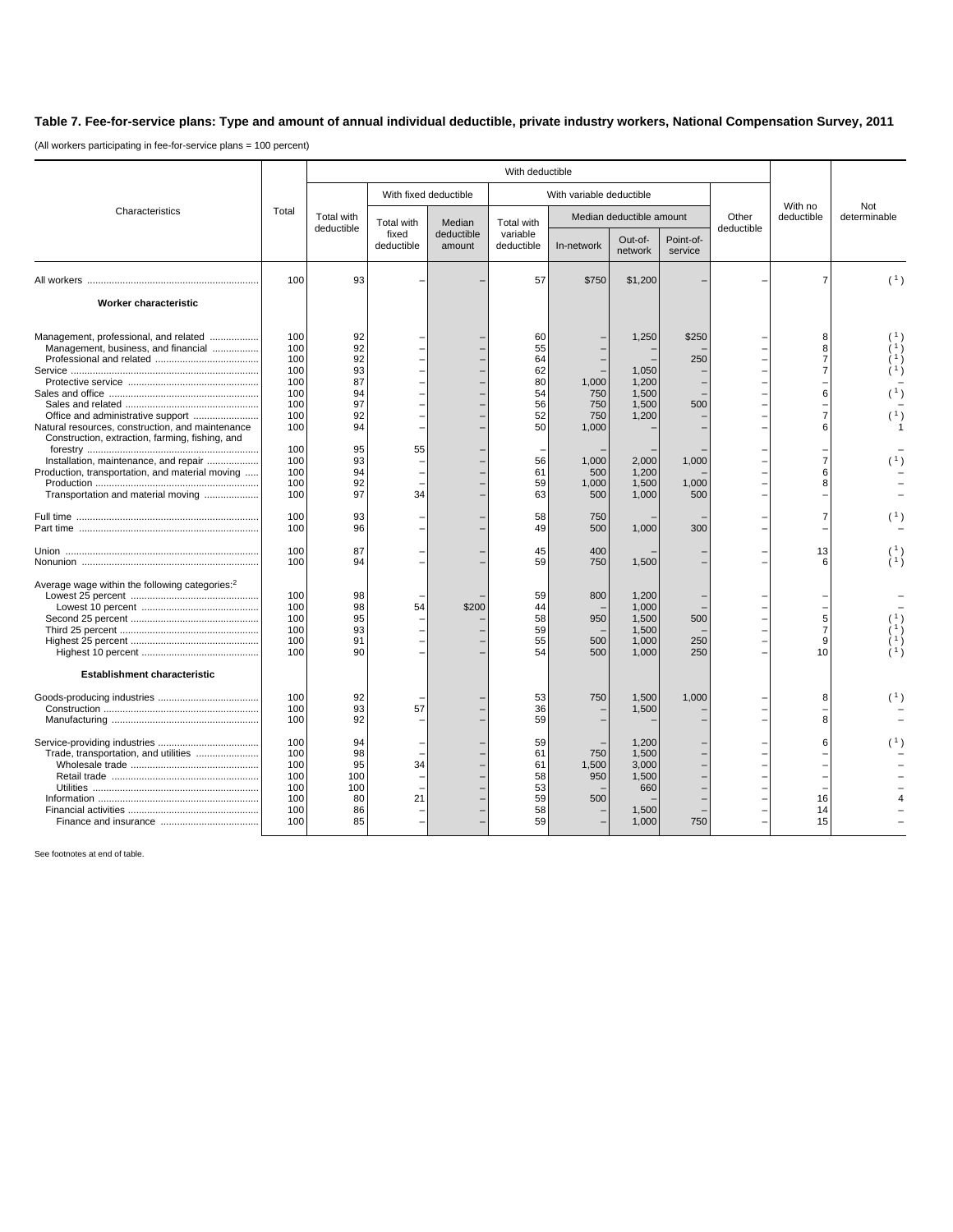## **Table 7. Fee-for-service plans: Type and amount of annual individual deductible, private industry workers, National Compensation Survey, 2011**

(All workers participating in fee-for-service plans = 100 percent)

|                                                            | Total      | With deductible          |                                   |                                |                                      |                          |                    |                      |                       |                     |                |
|------------------------------------------------------------|------------|--------------------------|-----------------------------------|--------------------------------|--------------------------------------|--------------------------|--------------------|----------------------|-----------------------|---------------------|----------------|
| Characteristics                                            |            |                          | With fixed deductible             |                                | With variable deductible             |                          |                    |                      |                       |                     |                |
|                                                            |            | Total with<br>deductible | Total with<br>fixed<br>deductible | Median<br>deductible<br>amount | Total with<br>variable<br>deductible | Median deductible amount |                    | Other<br>deductible  | With no<br>deductible | Not<br>determinable |                |
|                                                            |            |                          |                                   |                                |                                      | In-network               | Out-of-<br>network | Point-of-<br>service |                       |                     |                |
|                                                            | 100        | 93                       |                                   |                                | 57                                   | \$750                    | \$1,200            |                      |                       | $\overline{7}$      | (1)            |
| Worker characteristic                                      |            |                          |                                   |                                |                                      |                          |                    |                      |                       |                     |                |
| Management, professional, and related                      | 100        | 92<br>92                 |                                   |                                | 60                                   |                          | 1,250              | \$250                |                       | 8                   |                |
| Management, business, and financial                        | 100<br>100 | 92                       |                                   |                                | 55<br>64                             |                          |                    | 250                  |                       | 8<br>$\overline{7}$ |                |
|                                                            | 100        | 93                       |                                   |                                | 62                                   |                          | 1,050              |                      |                       | $\overline{7}$      |                |
|                                                            | 100        | 87                       |                                   |                                | 80                                   | 1,000                    | 1,200              |                      |                       |                     |                |
|                                                            | 100        | 94                       |                                   |                                | 54                                   | 750                      | 1,500              |                      |                       | 6                   | (1)            |
|                                                            | 100        | 97                       |                                   |                                | 56                                   | 750                      | 1,500              | 500                  |                       |                     |                |
| Office and administrative support                          | 100        | 92                       |                                   |                                | 52                                   | 750                      | 1,200              |                      |                       | $\overline{7}$      | (1)            |
| Natural resources, construction, and maintenance           | 100        | 94                       |                                   |                                | 50                                   | 1,000                    |                    |                      |                       | 6                   |                |
| Construction, extraction, farming, fishing, and            | 100        | 95                       | 55                                |                                |                                      |                          |                    |                      |                       |                     |                |
| Installation, maintenance, and repair                      | 100        | 93                       |                                   |                                | 56                                   | 1,000                    | 2,000              | 1,000                |                       | $\overline{7}$      |                |
| Production, transportation, and material moving            | 100        | 94                       |                                   |                                | 61                                   | 500                      | 1,200              |                      |                       | 6                   |                |
|                                                            | 100        | 92                       |                                   |                                | 59                                   | 1,000                    | 1,500              | 1,000                |                       | 8                   |                |
| Transportation and material moving                         | 100        | 97                       | 34                                |                                | 63                                   | 500                      | 1,000              | 500                  |                       |                     |                |
|                                                            | 100        | 93                       |                                   |                                | 58                                   | 750                      |                    |                      |                       | $\overline{7}$      |                |
|                                                            | 100        | 96                       |                                   |                                | 49                                   | 500                      | 1,000              | 300                  |                       |                     |                |
|                                                            | 100        | 87                       |                                   |                                | 45                                   | 400                      |                    |                      |                       | 13                  | $\binom{1}{1}$ |
|                                                            | 100        | 94                       |                                   |                                | 59                                   | 750                      | 1,500              |                      |                       | 6                   |                |
| Average wage within the following categories: <sup>2</sup> |            |                          |                                   |                                |                                      |                          |                    |                      |                       |                     |                |
|                                                            | 100        | 98                       |                                   |                                | 59                                   | 800                      | 1,200              |                      |                       |                     |                |
|                                                            | 100        | 98                       | 54                                | \$200                          | 44                                   |                          | 1,000              |                      |                       |                     |                |
|                                                            | 100        | 95                       |                                   |                                | 58                                   | 950                      | 1,500              | 500                  |                       | 5                   | 1)             |
|                                                            | 100<br>100 | 93<br>91                 |                                   |                                | 59<br>55                             | 500                      | 1,500<br>1,000     | 250                  |                       | $\overline{7}$<br>9 |                |
|                                                            | 100        | 90                       |                                   |                                | 54                                   | 500                      | 1,000              | 250                  |                       | 10                  |                |
| <b>Establishment characteristic</b>                        |            |                          |                                   |                                |                                      |                          |                    |                      |                       |                     |                |
|                                                            | 100        | 92                       |                                   |                                | 53                                   | 750                      | 1,500              | 1,000                |                       | 8                   | (1)            |
|                                                            | 100        | 93                       | 57                                |                                | 36                                   |                          | 1,500              |                      |                       |                     |                |
|                                                            | 100        | 92                       |                                   |                                | 59                                   |                          |                    |                      |                       | 8                   |                |
|                                                            | 100        | 94                       |                                   |                                | 59                                   |                          | 1,200              |                      |                       | 6                   |                |
| Trade, transportation, and utilities                       | 100        | 98                       |                                   |                                | 61                                   | 750                      | 1,500              |                      |                       |                     |                |
|                                                            | 100        | 95                       | 34                                |                                | 61                                   | 1,500                    | 3,000              |                      |                       |                     |                |
|                                                            | 100        | 100                      |                                   |                                | 58                                   | 950                      | 1,500              |                      |                       |                     |                |
|                                                            | 100<br>100 | 100<br>80                | 21                                |                                | 53<br>59                             | 500                      | 660                |                      |                       | 16                  |                |
|                                                            | 100        | 86                       |                                   |                                | 58                                   |                          | 1,500              |                      |                       | 14                  |                |
|                                                            | 100        | 85                       |                                   |                                | 59                                   |                          | 1,000              | 750                  |                       | 15                  |                |
|                                                            |            |                          |                                   |                                |                                      |                          |                    |                      |                       |                     |                |

See footnotes at end of table.